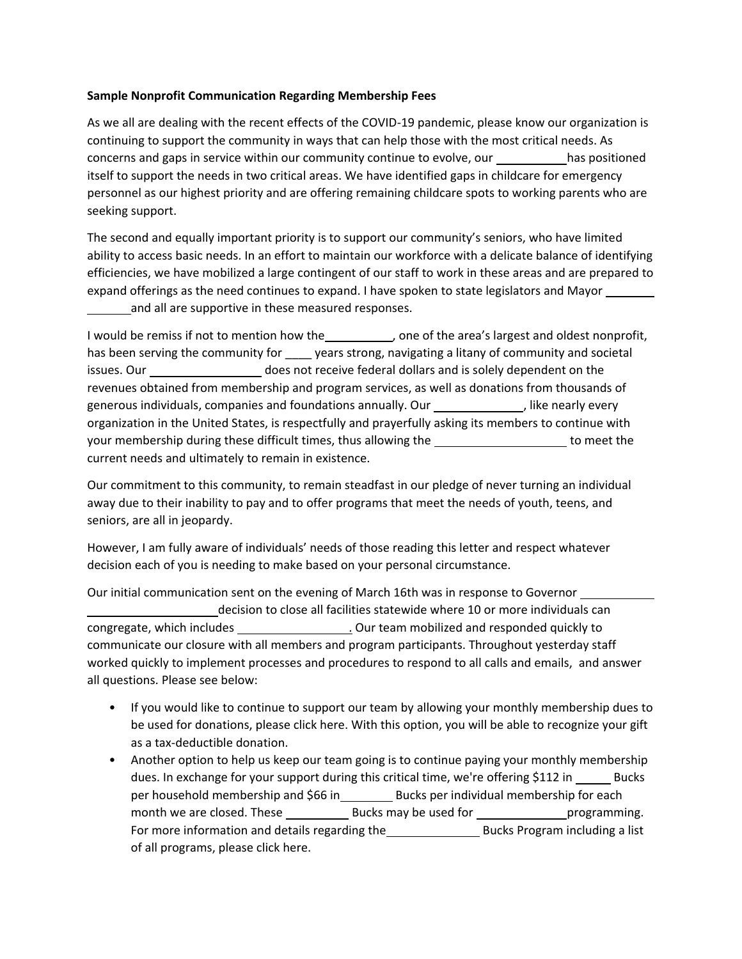## **Sample Nonprofit Communication Regarding Membership Fees**

As we all are dealing with the recent effects of the COVID-19 pandemic, please know our organization is continuing to support the community in ways that can help those with the most critical needs. As concerns and gaps in service within our community continue to evolve, our has positioned itself to support the needs in two critical areas. We have identified gaps in childcare for emergency personnel as our highest priority and are offering remaining childcare spots to working parents who are seeking support.

The second and equally important priority is to support our community's seniors, who have limited ability to access basic needs. In an effort to maintain our workforce with a delicate balance of identifying efficiencies, we have mobilized a large contingent of our staff to work in these areas and are prepared to expand offerings as the need continues to expand. I have spoken to state legislators and Mayor \_\_\_\_\_\_ and all are supportive in these measured responses.

I would be remiss if not to mention how the \_\_\_\_\_\_\_\_\_\_, one of the area's largest and oldest nonprofit, has been serving the community for \_\_\_\_ years strong, navigating a litany of community and societal issues. Our \_\_\_\_\_\_\_\_\_\_\_\_\_\_\_\_\_\_\_\_\_ does not receive federal dollars and is solely dependent on the revenues obtained from membership and program services, as well as donations from thousands of generous individuals, companies and foundations annually. Our figures in the nearly every organization in the United States, is respectfully and prayerfully asking its members to continue with your membership during these difficult times, thus allowing the **the to meet the to meet the** current needs and ultimately to remain in existence.

Our commitment to this community, to remain steadfast in our pledge of never turning an individual away due to their inability to pay and to offer programs that meet the needs of youth, teens, and seniors, are all in jeopardy.

However, I am fully aware of individuals' needs of those reading this letter and respect whatever decision each of you is needing to make based on your personal circumstance.

Our initial communication sent on the evening of March 16th was in response to Governor decision to close all facilities statewide where 10 or more individuals can congregate, which includes . Our team mobilized and responded quickly to communicate our closure with all members and program participants. Throughout yesterday staff worked quickly to implement processes and procedures to respond to all calls and emails, and answer all questions. Please see below:

- If you would like to continue to support our team by allowing your monthly membership dues to be used for donations, please click here. With this option, you will be able to recognize your gift as a tax-deductible donation.
- Another option to help us keep our team going is to continue paying your monthly membership dues. In exchange for your support during this critical time, we're offering \$112 in \_\_\_\_\_\_ Bucks per household membership and \$66 in \_\_\_\_\_\_\_\_\_\_ Bucks per individual membership for each month we are closed. These Bucks may be used for programming. For more information and details regarding the \_\_\_\_\_\_\_\_\_\_\_\_\_\_\_\_\_\_\_\_\_\_\_\_\_\_\_\_\_\_\_\_\_\_ Bucks Program including a list of all programs, please click here.